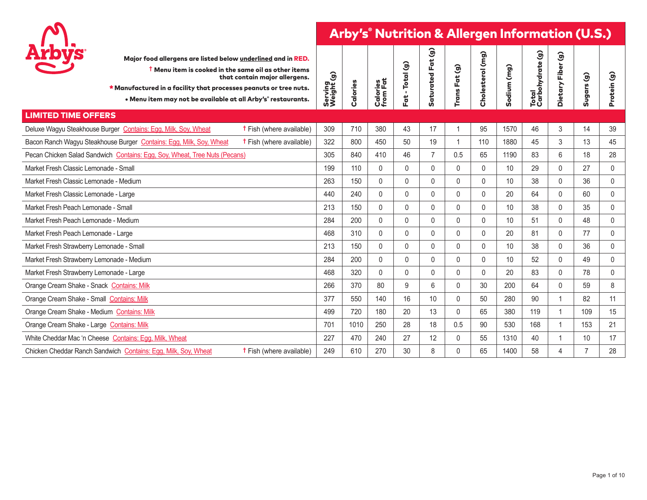

| <b>Arbys</b>                               | Major food allergens are listed below underlined and in RED.<br><b>T</b> Menu item is cooked in the same oil as other items<br>* Manufactured in a facility that processes peanuts or tree nuts.<br>• Menu item may not be available at all Arby's° restaurants. | that contain major allergens.   | Serving<br>Weight (g) | Calories | Calories<br>from Fat | -Total (g)<br>Fat | මි<br>Fat<br>Saturated | Trans Fat (g)  | (mg)<br>Cholesterol | Sodium (mg) | $\widehat{\mathbf{e}}$<br>Total<br>Carbohydrate | $\widehat{\mathbf{g}}$<br>Fiber<br>Dietary | Sugars (g)     | Protein (g) |
|--------------------------------------------|------------------------------------------------------------------------------------------------------------------------------------------------------------------------------------------------------------------------------------------------------------------|---------------------------------|-----------------------|----------|----------------------|-------------------|------------------------|----------------|---------------------|-------------|-------------------------------------------------|--------------------------------------------|----------------|-------------|
| <b>LIMITED TIME OFFERS</b>                 |                                                                                                                                                                                                                                                                  |                                 |                       |          |                      |                   |                        |                |                     |             |                                                 |                                            |                |             |
|                                            | Deluxe Wagyu Steakhouse Burger Contains: Egg, Milk, Soy, Wheat                                                                                                                                                                                                   | <b>t</b> Fish (where available) | 309                   | 710      | 380                  | 43                | 17                     | $\overline{1}$ | 95                  | 1570        | 46                                              | 3                                          | 14             | 39          |
|                                            | Bacon Ranch Wagyu Steakhouse Burger Contains: Egg, Milk, Soy, Wheat                                                                                                                                                                                              | <b>t</b> Fish (where available) | 322                   | 800      | 450                  | 50                | 19                     | $\mathbf{1}$   | 110                 | 1880        | 45                                              | 3                                          | 13             | 45          |
|                                            | Pecan Chicken Salad Sandwich Contains: Egg, Soy, Wheat, Tree Nuts (Pecans)                                                                                                                                                                                       |                                 | 305                   | 840      | 410                  | 46                | $\overline{7}$         | 0.5            | 65                  | 1190        | 83                                              | 6                                          | 18             | 28          |
| Market Fresh Classic Lemonade - Small      |                                                                                                                                                                                                                                                                  |                                 | 199                   | 110      | $\mathbf{0}$         | $\mathbf{0}$      | 0                      | $\mathbf 0$    | $\mathbf{0}$        | 10          | 29                                              | $\Omega$                                   | 27             | $\mathbf 0$ |
| Market Fresh Classic Lemonade - Medium     |                                                                                                                                                                                                                                                                  |                                 | 263                   | 150      | $\mathbf{0}$         | $\Omega$          | 0                      | $\mathbf 0$    | $\mathbf{0}$        | 10          | 38                                              | $\Omega$                                   | 36             | 0           |
| Market Fresh Classic Lemonade - Large      |                                                                                                                                                                                                                                                                  |                                 | 440                   | 240      | $\mathbf{0}$         | 0                 | 0                      | $\mathbf{0}$   | $\mathbf{0}$        | 20          | 64                                              | $\Omega$                                   | 60             | 0           |
| Market Fresh Peach Lemonade - Small        |                                                                                                                                                                                                                                                                  |                                 | 213                   | 150      | $\mathbf{0}$         | $\Omega$          | 0                      | $\mathbf 0$    | $\mathbf{0}$        | 10          | 38                                              | $\Omega$                                   | 35             | $\mathbf 0$ |
| Market Fresh Peach Lemonade - Medium       |                                                                                                                                                                                                                                                                  |                                 | 284                   | 200      | $\mathbf{0}$         | $\Omega$          | 0                      | $\mathbf{0}$   | $\mathbf{0}$        | 10          | 51                                              | $\Omega$                                   | 48             | 0           |
| Market Fresh Peach Lemonade - Large        |                                                                                                                                                                                                                                                                  |                                 | 468                   | 310      | $\mathbf{0}$         | $\mathbf{0}$      | 0                      | $\mathbf 0$    | $\mathbf{0}$        | 20          | 81                                              | $\Omega$                                   | 77             | $\mathbf 0$ |
| Market Fresh Strawberry Lemonade - Small   |                                                                                                                                                                                                                                                                  |                                 | 213                   | 150      | $\mathbf{0}$         | $\mathbf{0}$      | 0                      | $\mathbf 0$    | $\mathbf{0}$        | 10          | 38                                              | $\Omega$                                   | 36             | $\mathbf 0$ |
| Market Fresh Strawberry Lemonade - Medium  |                                                                                                                                                                                                                                                                  |                                 | 284                   | 200      | $\mathbf{0}$         | $\Omega$          | 0                      | $\mathbf{0}$   | $\mathbf{0}$        | 10          | 52                                              | $\Omega$                                   | 49             | $\mathbf 0$ |
| Market Fresh Strawberry Lemonade - Large   |                                                                                                                                                                                                                                                                  |                                 | 468                   | 320      | $\mathbf{0}$         | 0                 | 0                      | $\mathbf 0$    | $\mathbf{0}$        | 20          | 83                                              | $\mathbf{0}$                               | 78             | $\mathbf 0$ |
| Orange Cream Shake - Snack Contains: Milk  |                                                                                                                                                                                                                                                                  |                                 | 266                   | 370      | 80                   | 9                 | 6                      | $\mathbf{0}$   | 30                  | 200         | 64                                              | $\Omega$                                   | 59             | 8           |
| Orange Cream Shake - Small Contains: Milk  |                                                                                                                                                                                                                                                                  |                                 | 377                   | 550      | 140                  | 16                | 10                     | $\mathbf{0}$   | 50                  | 280         | 90                                              | $\overline{1}$                             | 82             | 11          |
| Orange Cream Shake - Medium Contains: Milk |                                                                                                                                                                                                                                                                  |                                 | 499                   | 720      | 180                  | 20                | 13                     | $\mathbf{0}$   | 65                  | 380         | 119                                             | $\overline{1}$                             | 109            | 15          |
| Orange Cream Shake - Large Contains: Milk  |                                                                                                                                                                                                                                                                  |                                 | 701                   | 1010     | 250                  | 28                | 18                     | 0.5            | 90                  | 530         | 168                                             |                                            | 153            | 21          |
|                                            | White Cheddar Mac 'n Cheese Contains: Egg, Milk, Wheat                                                                                                                                                                                                           |                                 | 227                   | 470      | 240                  | 27                | 12                     | $\mathbf{0}$   | 55                  | 1310        | 40                                              |                                            | 10             | 17          |
|                                            | Chicken Cheddar Ranch Sandwich Contains: Egg, Milk, Soy, Wheat                                                                                                                                                                                                   | <b>t</b> Fish (where available) | 249                   | 610      | 270                  | 30                | 8                      | $\mathbf{0}$   | 65                  | 1400        | 58                                              | 4                                          | $\overline{7}$ | 28          |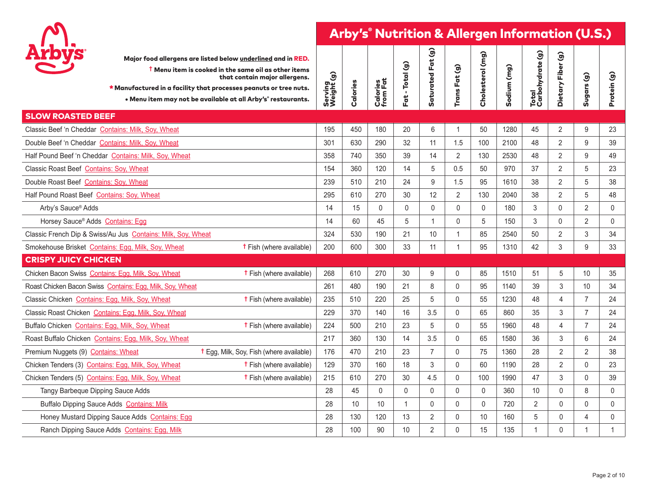

| <b>Arbys</b>                                    |                                                              | Major food allergens are listed below underlined and in RED.<br>$\dagger$ Menu item is cooked in the same oil as other items<br>that contain major allergens.<br>* Manufactured in a facility that processes peanuts or tree nuts.<br>• Menu item may not be available at all Arby's° restaurants. | Serving<br>Weight (g) | Calories | Calories<br>from Fat | Fat - Total (g) | Saturated Fat (g) | Trans Fat (g)  | Cholesterol (mg) | Sodium (mg) | Total<br>Carbohydrate (g) | $\widehat{\mathcal{G}}$<br>Dietary Fiber | $\widehat{\mathbf{e}}$<br><b>Sugars</b> | Protein (g)         |
|-------------------------------------------------|--------------------------------------------------------------|----------------------------------------------------------------------------------------------------------------------------------------------------------------------------------------------------------------------------------------------------------------------------------------------------|-----------------------|----------|----------------------|-----------------|-------------------|----------------|------------------|-------------|---------------------------|------------------------------------------|-----------------------------------------|---------------------|
| <b>SLOW ROASTED BEEF</b>                        |                                                              |                                                                                                                                                                                                                                                                                                    |                       |          |                      |                 |                   |                |                  |             |                           |                                          |                                         |                     |
|                                                 | Classic Beef 'n Cheddar Contains: Milk, Soy, Wheat           |                                                                                                                                                                                                                                                                                                    | 195                   | 450      | 180                  | 20              | 6                 | 1              | 50               | 1280        | 45                        | $\overline{2}$                           | 9                                       | 23                  |
|                                                 | Double Beef 'n Cheddar Contains: Milk, Soy, Wheat            |                                                                                                                                                                                                                                                                                                    | 301                   | 630      | 290                  | 32              | 11                | 1.5            | 100              | 2100        | 48                        | $\overline{2}$                           | 9                                       | 39                  |
|                                                 | Half Pound Beef 'n Cheddar Contains: Milk, Soy, Wheat        |                                                                                                                                                                                                                                                                                                    | 358                   | 740      | 350                  | 39              | 14                | $\overline{2}$ | 130              | 2530        | 48                        | $\overline{2}$                           | 9                                       | 49                  |
| Classic Roast Beef Contains: Soy, Wheat         |                                                              |                                                                                                                                                                                                                                                                                                    | 154                   | 360      | 120                  | 14              | 5                 | 0.5            | 50               | 970         | 37                        | $\overline{2}$                           | 5                                       | 23                  |
| Double Roast Beef Contains: Soy, Wheat          |                                                              |                                                                                                                                                                                                                                                                                                    | 239                   | 510      | 210                  | 24              | 9                 | 1.5            | 95               | 1610        | 38                        | $\overline{2}$                           | 5                                       | 38                  |
| Half Pound Roast Beef Contains: Soy, Wheat      |                                                              |                                                                                                                                                                                                                                                                                                    | 295                   | 610      | 270                  | 30              | 12                | $\overline{2}$ | 130              | 2040        | 38                        | $\overline{2}$                           | 5                                       | 48                  |
| Arby's Sauce® Adds                              |                                                              |                                                                                                                                                                                                                                                                                                    | 14                    | 15       | $\mathbf{0}$         | $\mathbf{0}$    | $\Omega$          | 0              | $\mathbf{0}$     | 180         | 3                         | $\mathbf{0}$                             | $\overline{2}$                          | $\mathbf 0$         |
| Horsey Sauce® Adds Contains: Egg                |                                                              |                                                                                                                                                                                                                                                                                                    | 14                    | 60       | 45                   | 5               | $\mathbf 1$       | 0              | 5                | 150         | 3                         | $\mathbf{0}$                             | $\overline{2}$                          | $\mathbf 0$         |
|                                                 | Classic French Dip & Swiss/Au Jus Contains: Milk, Soy, Wheat |                                                                                                                                                                                                                                                                                                    | 324                   | 530      | 190                  | 21              | 10                | 1              | 85               | 2540        | 50                        | 2                                        | 3                                       | 34                  |
|                                                 | Smokehouse Brisket Contains: Egg, Milk, Soy, Wheat           | <b>t</b> Fish (where available)                                                                                                                                                                                                                                                                    | 200                   | 600      | 300                  | 33              | 11                | 1              | 95               | 1310        | 42                        | 3                                        | 9                                       | 33                  |
| <b>CRISPY JUICY CHICKEN</b>                     |                                                              |                                                                                                                                                                                                                                                                                                    |                       |          |                      |                 |                   |                |                  |             |                           |                                          |                                         |                     |
|                                                 | Chicken Bacon Swiss Contains: Egg, Milk, Soy, Wheat          | <b>t</b> Fish (where available)                                                                                                                                                                                                                                                                    | 268                   | 610      | 270                  | 30              | 9                 | $\mathbf{0}$   | 85               | 1510        | 51                        | 5                                        | 10                                      | 35                  |
|                                                 | Roast Chicken Bacon Swiss Contains: Egg, Milk, Soy, Wheat    |                                                                                                                                                                                                                                                                                                    | 261                   | 480      | 190                  | 21              | 8                 | $\Omega$       | 95               | 1140        | 39                        | 3                                        | 10                                      | 34                  |
| Classic Chicken Contains: Egg, Milk, Soy, Wheat |                                                              | <b>t</b> Fish (where available)                                                                                                                                                                                                                                                                    | 235                   | 510      | 220                  | 25              | 5                 | $\Omega$       | 55               | 1230        | 48                        | $\overline{\mathbf{4}}$                  | $\overline{7}$                          | 24                  |
|                                                 | Classic Roast Chicken Contains: Egg, Milk, Soy, Wheat        |                                                                                                                                                                                                                                                                                                    | 229                   | 370      | 140                  | 16              | 3.5               | $\Omega$       | 65               | 860         | 35                        | 3                                        | $\overline{7}$                          | 24                  |
| Buffalo Chicken Contains: Egg, Milk, Soy, Wheat |                                                              | <b>t</b> Fish (where available)                                                                                                                                                                                                                                                                    | 224                   | 500      | 210                  | 23              | 5                 | $\mathbf{0}$   | 55               | 1960        | 48                        | $\overline{4}$                           | $\overline{7}$                          | 24                  |
|                                                 | Roast Buffalo Chicken Contains: Egg, Milk, Soy, Wheat        |                                                                                                                                                                                                                                                                                                    | 217                   | 360      | 130                  | 14              | 3.5               | $\Omega$       | 65               | 1580        | 36                        | 3                                        | 6                                       | 24                  |
| Premium Nuggets (9) Contains: Wheat             |                                                              | <b>t</b> Egg, Milk, Soy, Fish (where available)                                                                                                                                                                                                                                                    | 176                   | 470      | 210                  | 23              | $\overline{7}$    | $\Omega$       | 75               | 1360        | 28                        | $\overline{2}$                           | 2                                       | 38                  |
|                                                 | Chicken Tenders (3) Contains: Egg, Milk, Soy, Wheat          | <b>t</b> Fish (where available)                                                                                                                                                                                                                                                                    | 129                   | 370      | 160                  | 18              | 3                 | $\Omega$       | 60               | 1190        | 28                        | $\overline{2}$                           | $\Omega$                                | 23                  |
|                                                 | Chicken Tenders (5) Contains: Egg. Milk, Soy, Wheat          | <b>t</b> Fish (where available)                                                                                                                                                                                                                                                                    | 215                   | 610      | 270                  | 30              | 4.5               | $\mathbf{0}$   | 100              | 1990        | 47                        | 3                                        | $\Omega$                                | 39                  |
| Tangy Barbeque Dipping Sauce Adds               |                                                              |                                                                                                                                                                                                                                                                                                    | 28                    | 45       | $\mathbf 0$          | $\mathbf 0$     | $\mathbf 0$       | $\mathbf 0$    | $\mathbf 0$      | 360         | 10                        | 0                                        | 8                                       | 0                   |
|                                                 | Buffalo Dipping Sauce Adds Contains: Milk                    |                                                                                                                                                                                                                                                                                                    | 28                    | 10       | 10                   | $\overline{1}$  | $\mathbf 0$       | $\mathbf{0}$   | $\pmb{0}$        | 720         | $\overline{2}$            | 0                                        | $\mathbf{0}$                            | $\mathbf 0$         |
|                                                 | Honey Mustard Dipping Sauce Adds Contains: Egg               |                                                                                                                                                                                                                                                                                                    | 28                    | 130      | 120                  | 13              | $\overline{2}$    | $\mathbf{0}$   | 10               | 160         | 5                         | 0                                        | 4                                       | $\mathsf{O}\xspace$ |
|                                                 | Ranch Dipping Sauce Adds Contains: Egg, Milk                 |                                                                                                                                                                                                                                                                                                    | 28                    | 100      | 90                   | 10              | $\overline{2}$    | $\Omega$       | 15               | 135         | $\overline{1}$            | $\Omega$                                 | $\mathbf 1$                             | $\mathbf{1}$        |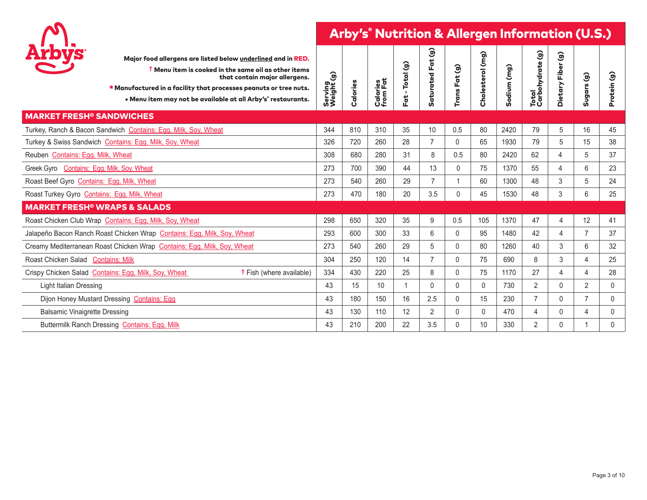

| <b>Arbys</b>                                 | Major food allergens are listed below underlined and in RED.<br><b>T</b> Menu item is cooked in the same oil as other items<br>that contain major allergens.<br>* Manufactured in a facility that processes peanuts or tree nuts.<br>• Menu item may not be available at all Arby's° restaurants. | Serving<br>Weight (g) | Calories | Calories<br>from Fat | $\mathbf{\hat{g}}$<br>$-Total$<br>For t | $\widehat{\mathcal{G}}$<br>$\ddot{a}$<br>LĽ,<br>aturated<br>ທັ | Fat (g)<br><b>Trans</b> | Cholesterol (mg) | (mg)<br>Sodium | Total<br>Carbohydrate (g) | $\widehat{\mathcal{G}}$<br>ត<br><u>يَّ</u><br>Dietary | Sugars (g)     | Protein (g) |
|----------------------------------------------|---------------------------------------------------------------------------------------------------------------------------------------------------------------------------------------------------------------------------------------------------------------------------------------------------|-----------------------|----------|----------------------|-----------------------------------------|----------------------------------------------------------------|-------------------------|------------------|----------------|---------------------------|-------------------------------------------------------|----------------|-------------|
| <b>MARKET FRESH<sup>®</sup> SANDWICHES</b>   |                                                                                                                                                                                                                                                                                                   |                       |          |                      |                                         |                                                                |                         |                  |                |                           |                                                       |                |             |
|                                              | Turkey, Ranch & Bacon Sandwich Contains: Egg, Milk, Soy, Wheat                                                                                                                                                                                                                                    | 344                   | 810      | 310                  | 35                                      | 10                                                             | 0.5                     | 80               | 2420           | 79                        | 5                                                     | 16             | 45          |
|                                              | Turkey & Swiss Sandwich Contains: Egg, Milk, Soy, Wheat                                                                                                                                                                                                                                           | 326                   | 720      | 260                  | 28                                      | 7                                                              | 0                       | 65               | 1930           | 79                        | 5                                                     | 15             | 38          |
| Reuben Contains: Egg, Milk, Wheat            |                                                                                                                                                                                                                                                                                                   | 308                   | 680      | 280                  | 31                                      | 8                                                              | 0.5                     | 80               | 2420           | 62                        | 4                                                     | 5              | 37          |
| Greek Gyro Contains: Egg, Milk, Soy, Wheat   |                                                                                                                                                                                                                                                                                                   | 273                   | 700      | 390                  | 44                                      | 13                                                             | 0                       | 75               | 1370           | 55                        | 4                                                     | 6              | 23          |
| Roast Beef Gyro Contains: Egg, Milk, Wheat   |                                                                                                                                                                                                                                                                                                   | 273                   | 540      | 260                  | 29                                      |                                                                | $\mathbf{1}$            | 60               | 1300           | 48                        | 3                                                     | 5              | 24          |
| Roast Turkey Gyro Contains: Egg, Milk, Wheat |                                                                                                                                                                                                                                                                                                   | 273                   | 470      | 180                  | 20                                      | 3.5                                                            | 0                       | 45               | 1530           | 48                        | 3                                                     | 6              | 25          |
|                                              | <b>MARKET FRESH<sup>®</sup> WRAPS &amp; SALADS</b>                                                                                                                                                                                                                                                |                       |          |                      |                                         |                                                                |                         |                  |                |                           |                                                       |                |             |
|                                              | Roast Chicken Club Wrap Contains: Egg, Milk, Soy, Wheat                                                                                                                                                                                                                                           | 298                   | 650      | 320                  | 35                                      | 9                                                              | 0.5                     | 105              | 1370           | 47                        | 4                                                     | 12             | 41          |
|                                              | Jalapeño Bacon Ranch Roast Chicken Wrap Contains: Egg, Milk, Soy, Wheat                                                                                                                                                                                                                           | 293                   | 600      | 300                  | 33                                      | 6                                                              | 0                       | 95               | 1480           | 42                        | 4                                                     | $\overline{7}$ | 37          |
|                                              | Creamy Mediterranean Roast Chicken Wrap Contains: Egg. Milk, Soy, Wheat                                                                                                                                                                                                                           | 273                   | 540      | 260                  | 29                                      | 5                                                              | 0                       | 80               | 1260           | 40                        | 3                                                     | 6              | 32          |
| Roast Chicken Salad Contains: Milk           |                                                                                                                                                                                                                                                                                                   | 304                   | 250      | 120                  | 14                                      |                                                                | 0                       | 75               | 690            | 8                         | 3                                                     | 4              | 25          |
|                                              | Crispy Chicken Salad Contains: Egg, Milk, Soy, Wheat<br><b>t</b> Fish (where available)                                                                                                                                                                                                           | 334                   | 430      | 220                  | 25                                      | 8                                                              | $\Omega$                | 75               | 1170           | 27                        | 4                                                     | 4              | 28          |
| <b>Light Italian Dressing</b>                |                                                                                                                                                                                                                                                                                                   | 43                    | 15       | 10                   |                                         | $\Omega$                                                       | 0                       | $\Omega$         | 730            | $\overline{2}$            | $\Omega$                                              | $\overline{2}$ | $\mathbf 0$ |
|                                              | Dijon Honey Mustard Dressing Contains: Egg                                                                                                                                                                                                                                                        | 43                    | 180      | 150                  | 16                                      | 2.5                                                            | 0                       | 15               | 230            | 7                         | $\Omega$                                              | $\overline{7}$ | $\mathbf 0$ |
| <b>Balsamic Vinaigrette Dressing</b>         |                                                                                                                                                                                                                                                                                                   | 43                    | 130      | 110                  | 12                                      | $\overline{2}$                                                 | 0                       | $\mathbf{0}$     | 470            | 4                         | $\Omega$                                              | 4              | 0           |
|                                              | Buttermilk Ranch Dressing Contains: Egg, Milk                                                                                                                                                                                                                                                     | 43                    | 210      | 200                  | 22                                      | 3.5                                                            | 0                       | 10               | 330            | $\overline{2}$            | $\Omega$                                              | 1              | $\Omega$    |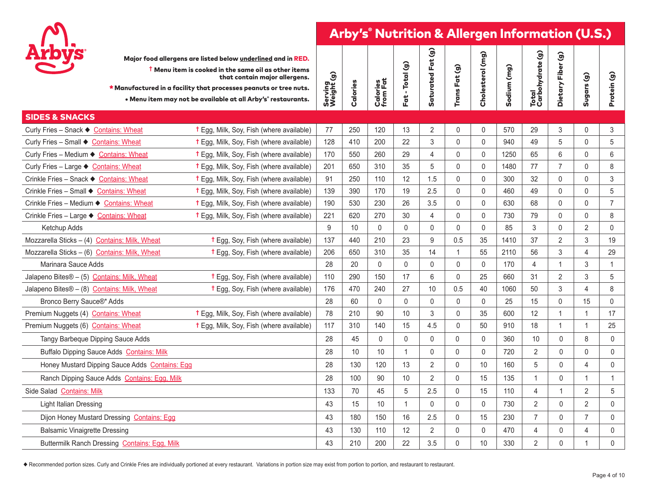

| Major food allergens are listed below underlined and in RED. |  |
|--------------------------------------------------------------|--|
| t Menu item is cooked in the same oil as other items         |  |

| <b>Arbys</b><br>Major food allergens are listed below underlined and in RED.<br>$\dagger$ Menu item is cooked in the same oil as other items<br>that contain major allergens.<br>* Manufactured in a facility that processes peanuts or tree nuts.<br>• Menu item may not be available at all Arby's° restaurants. | Serving<br>Weight (g) | Calories | <b>Calories</b><br>from Fat | Fat - Total (g) | aturated Fat (g)<br>Ū | Trans Fat (g) | Cholesterol (mg) | Sodium (mg) | Total<br>Carbohydrate (g) | $\widehat{9}$<br>Dietary Fiber | Sugars (g)     | Protein (g)    |
|--------------------------------------------------------------------------------------------------------------------------------------------------------------------------------------------------------------------------------------------------------------------------------------------------------------------|-----------------------|----------|-----------------------------|-----------------|-----------------------|---------------|------------------|-------------|---------------------------|--------------------------------|----------------|----------------|
| <b>SIDES &amp; SNACKS</b>                                                                                                                                                                                                                                                                                          |                       |          |                             |                 |                       |               |                  |             |                           |                                |                |                |
| Curly Fries - Snack ♦ Contains: Wheat<br><sup>†</sup> Egg, Milk, Soy, Fish (where available)                                                                                                                                                                                                                       | 77                    | 250      | 120                         | 13              | $\overline{2}$        | $\mathbf 0$   | $\mathbf 0$      | 570         | 29                        | 3                              | 0              | 3              |
| Curly Fries - Small ♦ Contains: Wheat<br>† Egg, Milk, Soy, Fish (where available)                                                                                                                                                                                                                                  | 128                   | 410      | 200                         | 22              | 3                     | $\mathbf 0$   | $\Omega$         | 940         | 49                        | 5                              | 0              | 5              |
| Curly Fries - Medium ♦ Contains: Wheat<br>† Egg, Milk, Soy, Fish (where available)                                                                                                                                                                                                                                 | 170                   | 550      | 260                         | 29              | 4                     | $\mathbf 0$   | $\mathbf{0}$     | 1250        | 65                        | 6                              | $\mathbf{0}$   | 6              |
| Curly Fries - Large ♦ Contains: Wheat<br>† Egg, Milk, Soy, Fish (where available)                                                                                                                                                                                                                                  | 201                   | 650      | 310                         | 35              | 5                     | $\mathbf 0$   | 0                | 1480        | 77                        | $\overline{7}$                 | 0              | 8              |
| Crinkle Fries - Snack ♦ Contains: Wheat<br><sup>†</sup> Egg, Milk, Soy, Fish (where available)                                                                                                                                                                                                                     | 91                    | 250      | 110                         | 12              | 1.5                   | $\mathbf 0$   | $\mathbf{0}$     | 300         | 32                        | $\mathbf{0}$                   | 0              | $\mathfrak{Z}$ |
| Crinkle Fries - Small ♦ Contains: Wheat<br><sup>†</sup> Egg, Milk, Soy, Fish (where available)                                                                                                                                                                                                                     | 139                   | 390      | 170                         | 19              | 2.5                   | $\mathbf 0$   | $\mathbf{0}$     | 460         | 49                        | $\mathbf{0}$                   | 0              | 5              |
| Crinkle Fries – Medium ♦ Contains: Wheat<br><sup>†</sup> Egg, Milk, Soy, Fish (where available)                                                                                                                                                                                                                    | 190                   | 530      | 230                         | 26              | 3.5                   | $\mathbf{0}$  | $\mathbf{0}$     | 630         | 68                        | $\mathbf{0}$                   | 0              | $\overline{7}$ |
| <sup>†</sup> Egg, Milk, Soy, Fish (where available)<br>Crinkle Fries - Large ♦ Contains: Wheat                                                                                                                                                                                                                     | 221                   | 620      | 270                         | 30              | 4                     | $\mathbf 0$   | $\mathbf 0$      | 730         | 79                        | $\mathbf{0}$                   | 0              | 8              |
| Ketchup Adds                                                                                                                                                                                                                                                                                                       | 9                     | 10       | $\mathbf{0}$                | $\Omega$        | $\mathbf{0}$          | $\Omega$      | $\Omega$         | 85          | 3                         | $\Omega$                       | $\overline{2}$ | $\mathbf{0}$   |
| Mozzarella Sticks - (4) Contains: Milk, Wheat<br>† Egg, Soy, Fish (where available)                                                                                                                                                                                                                                | 137                   | 440      | 210                         | 23              | 9                     | 0.5           | 35               | 1410        | 37                        | $\overline{2}$                 | 3              | 19             |
| Mozzarella Sticks - (6) Contains: Milk, Wheat<br><b>t</b> Egg, Soy, Fish (where available)                                                                                                                                                                                                                         | 206                   | 650      | 310                         | 35              | 14                    | $\mathbf{1}$  | 55               | 2110        | 56                        | 3                              | 4              | 29             |
| Marinara Sauce Adds                                                                                                                                                                                                                                                                                                | 28                    | 20       | $\mathbf{0}$                | $\mathbf{0}$    | $\mathbf{0}$          | $\mathbf 0$   | $\mathbf 0$      | 170         | $\overline{4}$            | $\mathbf 1$                    | 3              | $\mathbf{1}$   |
| Jalapeno Bites® - (5) Contains: Milk, Wheat<br><b>t</b> Egg, Soy, Fish (where available)                                                                                                                                                                                                                           | 110                   | 290      | 150                         | 17              | 6                     | $\mathbf 0$   | 25               | 660         | 31                        | $\overline{2}$                 | 3              | 5              |
| Jalapeno Bites® - (8) Contains: Milk, Wheat<br><b>t</b> Egg, Soy, Fish (where available)                                                                                                                                                                                                                           | 176                   | 470      | 240                         | 27              | 10                    | 0.5           | 40               | 1060        | 50                        | 3                              | 4              | 8              |
| Bronco Berry Sauce®* Adds                                                                                                                                                                                                                                                                                          | 28                    | 60       | $\mathbf{0}$                | $\mathbf{0}$    | 0                     | $\mathbf 0$   | $\mathbf{0}$     | 25          | 15                        | $\mathbf 0$                    | 15             | 0              |
| <sup>†</sup> Egg, Milk, Soy, Fish (where available)<br>Premium Nuggets (4) Contains: Wheat                                                                                                                                                                                                                         | 78                    | 210      | 90                          | 10              | 3                     | $\mathbf{0}$  | 35               | 600         | 12                        | $\mathbf{1}$                   | $\mathbf{1}$   | 17             |
| Premium Nuggets (6) Contains: Wheat<br><sup>†</sup> Egg, Milk, Soy, Fish (where available)                                                                                                                                                                                                                         | 117                   | 310      | 140                         | 15              | 4.5                   | $\mathbf 0$   | 50               | 910         | 18                        | $\mathbf{1}$                   | $\mathbf{1}$   | 25             |
| Tangy Barbeque Dipping Sauce Adds                                                                                                                                                                                                                                                                                  | 28                    | 45       | $\mathbf 0$                 | $\pmb{0}$       | 0                     | $\mathsf 0$   | $\mathbf 0$      | 360         | 10                        | $\mathbf 0$                    | 8              | $\mathsf{0}$   |
| Buffalo Dipping Sauce Adds Contains: Milk                                                                                                                                                                                                                                                                          | 28                    | 10       | 10                          | $\overline{1}$  | $\mathbf{0}$          | $\mathbf{0}$  | $\mathbf{0}$     | 720         | $\overline{2}$            | $\Omega$                       | 0              | 0              |
| Honey Mustard Dipping Sauce Adds Contains: Egg                                                                                                                                                                                                                                                                     | 28                    | 130      | 120                         | 13              | $\overline{2}$        | 0             | 10               | 160         | 5                         | $\Omega$                       | 4              | $\mathbf 0$    |
| Ranch Dipping Sauce Adds Contains: Egg, Milk                                                                                                                                                                                                                                                                       | 28                    | 100      | 90                          | 10              | $\overline{2}$        | 0             | 15               | 135         | 1                         | $\mathbf{0}$                   | $\mathbf{1}$   | $\mathbf{1}$   |
| Side Salad Contains: Milk                                                                                                                                                                                                                                                                                          | 133                   | 70       | 45                          | 5               | 2.5                   | $\mathbf{0}$  | 15               | 110         | 4                         | $\mathbf{1}$                   | $\overline{2}$ | 5              |
| Light Italian Dressing                                                                                                                                                                                                                                                                                             | 43                    | 15       | 10                          | $\overline{1}$  | 0                     | 0             | $\mathbf{0}$     | 730         | $\overline{2}$            | $\Omega$                       | $\overline{2}$ | $\mathbf 0$    |
| Dijon Honey Mustard Dressing Contains: Egg                                                                                                                                                                                                                                                                         | 43                    | 180      | 150                         | 16              | 2.5                   | 0             | 15               | 230         | $\overline{7}$            | $\mathbf{0}$                   | $\overline{7}$ | $\mathbf 0$    |
| Balsamic Vinaigrette Dressing                                                                                                                                                                                                                                                                                      | 43                    | 130      | 110                         | 12              | $\overline{2}$        | $\pmb{0}$     | $\mathbf 0$      | 470         | 4                         | $\Omega$                       | 4              | $\mathbf 0$    |
| Buttermilk Ranch Dressing Contains: Egg, Milk                                                                                                                                                                                                                                                                      | 43                    | 210      | 200                         | 22              | 3.5                   | $\mathbf 0$   | 10               | 330         | $\overline{2}$            | $\Omega$                       | 1              | $\mathbf{0}$   |

u Recommended portion sizes. Curly and Crinkle Fries are individually portioned at every restaurant. Variations in portion size may exist from portion to portion, and restaurant to restaurant.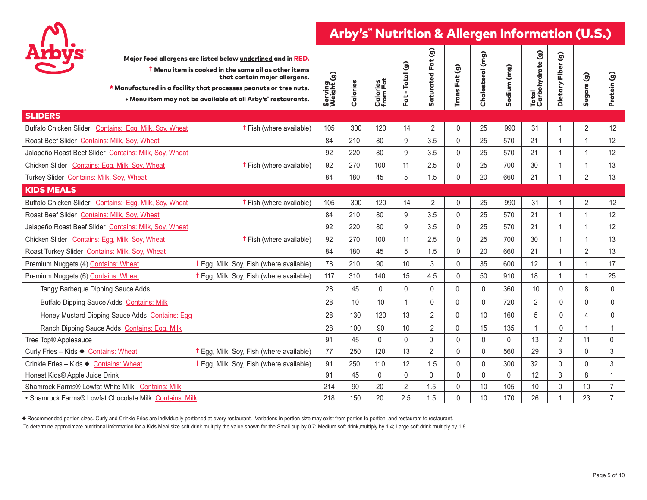

| <b>Arbys</b><br>Major food allergens are listed below underlined and in RED.<br>$\dagger$ Menu item is cooked in the same oil as other items<br>that contain major allergens.<br>* Manufactured in a facility that processes peanuts or tree nuts.<br>. Menu item may not be available at all Arby's° restaurants. | Serving<br>Weight (g)                  | Calories | Calories<br>from Fat | Fat - Total (g) | මි<br>Parti<br>Saturated | Trans Fat (g) | Cholesterol (mg) | Sodium (mg)  | Total<br>Carbohydrate (g) | $\widehat{\mathcal{G}}$<br>Dietary Fiber | Sugars (g)     | Protein (g)    |
|--------------------------------------------------------------------------------------------------------------------------------------------------------------------------------------------------------------------------------------------------------------------------------------------------------------------|----------------------------------------|----------|----------------------|-----------------|--------------------------|---------------|------------------|--------------|---------------------------|------------------------------------------|----------------|----------------|
| <b>SLIDERS</b>                                                                                                                                                                                                                                                                                                     |                                        |          |                      |                 |                          |               |                  |              |                           |                                          |                |                |
| Buffalo Chicken Slider Contains: Egg, Milk, Soy, Wheat                                                                                                                                                                                                                                                             | 105<br><b>t</b> Fish (where available) | 300      | 120                  | 14              | $\overline{2}$           | $\pmb{0}$     | 25               | 990          | 31                        |                                          | $\overline{2}$ | 12             |
| Roast Beef Slider Contains: Milk, Soy, Wheat                                                                                                                                                                                                                                                                       | 84                                     | 210      | 80                   | 9               | 3.5                      | $\mathbf{0}$  | 25               | 570          | 21                        |                                          | $\overline{1}$ | 12             |
| Jalapeño Roast Beef Slider Contains: Milk, Soy, Wheat                                                                                                                                                                                                                                                              | 92                                     | 220      | 80                   | 9               | 3.5                      | $\mathbf 0$   | 25               | 570          | 21                        |                                          | $\overline{1}$ | 12             |
| Chicken Slider Contains: Egg, Milk, Soy, Wheat                                                                                                                                                                                                                                                                     | <b>t</b> Fish (where available)<br>92  | 270      | 100                  | 11              | 2.5                      | $\mathbf{0}$  | 25               | 700          | 30                        |                                          | $\overline{1}$ | 13             |
| Turkey Slider Contains: Milk, Soy, Wheat                                                                                                                                                                                                                                                                           | 84                                     | 180      | 45                   | 5               | 1.5                      | $\mathbf 0$   | 20               | 660          | 21                        |                                          | 2              | 13             |
| <b>KIDS MEALS</b>                                                                                                                                                                                                                                                                                                  |                                        |          |                      |                 |                          |               |                  |              |                           |                                          |                |                |
| Buffalo Chicken Slider Contains: Egg, Milk, Soy, Wheat                                                                                                                                                                                                                                                             | <b>t</b> Fish (where available)<br>105 | 300      | 120                  | 14              | 2                        | $\mathbf 0$   | 25               | 990          | 31                        |                                          | 2              | 12             |
| Roast Beef Slider Contains: Milk, Soy, Wheat                                                                                                                                                                                                                                                                       | 84                                     | 210      | 80                   | 9               | 3.5                      | $\mathbf{0}$  | 25               | 570          | 21                        |                                          | $\overline{1}$ | 12             |
| Jalapeño Roast Beef Slider Contains: Milk, Soy, Wheat                                                                                                                                                                                                                                                              | 92                                     | 220      | 80                   | 9               | 3.5                      | $\mathbf{0}$  | 25               | 570          | 21                        |                                          | $\overline{1}$ | 12             |
| Chicken Slider Contains: Egg, Milk, Soy, Wheat                                                                                                                                                                                                                                                                     | <b>t</b> Fish (where available)<br>92  | 270      | 100                  | 11              | 2.5                      | $\mathbf 0$   | 25               | 700          | 30                        |                                          | $\overline{1}$ | 13             |
| Roast Turkey Slider Contains: Milk, Soy, Wheat                                                                                                                                                                                                                                                                     | 84                                     | 180      | 45                   | 5               | 1.5                      | $\mathbf{0}$  | 20               | 660          | 21                        |                                          | $\overline{2}$ | 13             |
| Premium Nuggets (4) Contains: Wheat<br>† Egg, Milk, Soy, Fish (where available)                                                                                                                                                                                                                                    | 78                                     | 210      | 90                   | 10              | 3                        | $\mathsf{O}$  | 35               | 600          | 12                        |                                          | $\overline{1}$ | 17             |
| Premium Nuggets (6) Contains: Wheat<br>† Egg, Milk, Soy, Fish (where available)                                                                                                                                                                                                                                    | 117                                    | 310      | 140                  | 15              | 4.5                      | $\mathbf{0}$  | 50               | 910          | 18                        |                                          | $\overline{1}$ | 25             |
| Tangy Barbeque Dipping Sauce Adds                                                                                                                                                                                                                                                                                  | 28                                     | 45       | $\pmb{0}$            | $\mathbf 0$     | 0                        | $\mathsf{O}$  | 0                | 360          | 10                        | 0                                        | 8              | 0              |
| Buffalo Dipping Sauce Adds Contains: Milk                                                                                                                                                                                                                                                                          | 28                                     | 10       | 10                   | $\overline{1}$  | 0                        | $\mathbf{0}$  | $\mathbf{0}$     | 720          | 2                         | 0                                        | $\mathbf{0}$   | $\mathbf 0$    |
| Honey Mustard Dipping Sauce Adds Contains: Egg                                                                                                                                                                                                                                                                     | 28                                     | 130      | 120                  | 13              | 2                        | $\pmb{0}$     | 10               | 160          | 5                         | 0                                        | $\overline{4}$ | $\mathsf{0}$   |
| Ranch Dipping Sauce Adds Contains: Egg, Milk                                                                                                                                                                                                                                                                       | 28                                     | 100      | 90                   | 10              | $\overline{2}$           | $\Omega$      | 15               | 135          |                           | 0                                        |                | $\mathbf 1$    |
| Tree Top® Applesauce                                                                                                                                                                                                                                                                                               | 91                                     | 45       | $\mathbf 0$          | $\mathbf 0$     | 0                        | $\pmb{0}$     | 0                | 0            | 13                        | $\overline{2}$                           | 11             | 0              |
| <b>t</b> Egg, Milk, Soy, Fish (where available)<br>Curly Fries - Kids ♦ Contains: Wheat                                                                                                                                                                                                                            | 77                                     | 250      | 120                  | 13              | 2                        | $\mathbf 0$   | $\mathbf{0}$     | 560          | 29                        | 3                                        | $\mathbf 0$    | 3              |
| Crinkle Fries - Kids ♦ Contains: Wheat<br>† Egg, Milk, Soy, Fish (where available)                                                                                                                                                                                                                                 | 91                                     | 250      | 110                  | 12              | 1.5                      | $\mathbf 0$   | $\mathbf{0}$     | 300          | 32                        | $\mathbf{0}$                             | $\mathbf{0}$   | 3              |
| Honest Kids® Apple Juice Drink                                                                                                                                                                                                                                                                                     | 91                                     | 45       | $\mathbf{0}$         | $\mathbf{0}$    | $\Omega$                 | $\mathbf{0}$  | $\mathbf{0}$     | $\mathbf{0}$ | 12                        | 3                                        | 8              | $\mathbf 1$    |
| Shamrock Farms® Lowfat White Milk Contains: Milk                                                                                                                                                                                                                                                                   | 214                                    | 90       | 20                   | $\overline{2}$  | 1.5                      | $\mathbf 0$   | 10               | 105          | 10                        | 0                                        | 10             | $\overline{7}$ |
| • Shamrock Farms® Lowfat Chocolate Milk Contains: Milk                                                                                                                                                                                                                                                             | 218                                    | 150      | 20                   | 2.5             | 1.5                      | $\mathbf{0}$  | 10               | 170          | 26                        |                                          | 23             | $\overline{7}$ |

u Recommended portion sizes. Curly and Crinkle Fries are individually portioned at every restaurant. Variations in portion size may exist from portion to portion, and restaurant to restaurant.

To determine approximate nutritional information for a Kids Meal size soft drink,multiply the value shown for the Small cup by 0.7; Medium soft drink,multiply by 1.4; Large soft drink,multiply by 1.8.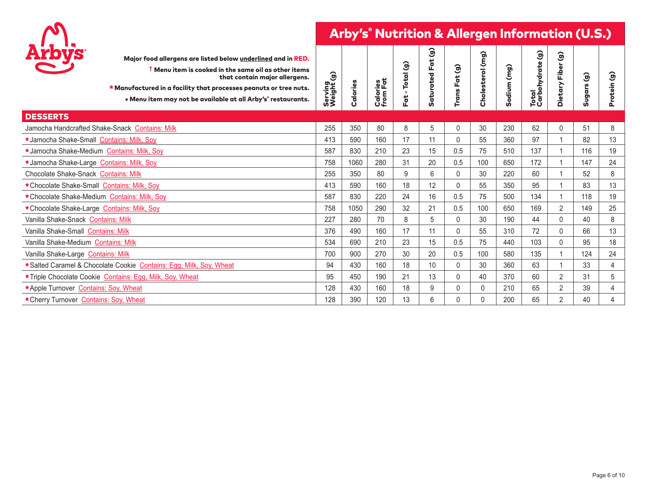

| Major food allergens are listed below underlined and in RED.<br>$\dagger$ Menu item is cooked in the same oil as other items<br>that contain major allergens.<br>* Manufactured in a facility that processes peanuts or tree nuts.<br>. Menu item may not be available at all Arby's° restaurants. | Serving<br>Weight (g) | Calories | <b>Calories</b><br>from Fat | Total (g)<br>$\mathbf{L}$<br>Fat | $\mathbf{\hat{g}}$<br><b>Saturated Fat</b> | මි<br>For t<br><b>Trans</b> | Cholesterol (mg) | (mg)<br>Sodium | Total<br>Carbohydrate (g) | $\widehat{\mathbf{g}}$<br>Fiber<br>Dietary | $\widehat{\mathbf{g}}$<br>Sugars | ම<br>Protein   |
|----------------------------------------------------------------------------------------------------------------------------------------------------------------------------------------------------------------------------------------------------------------------------------------------------|-----------------------|----------|-----------------------------|----------------------------------|--------------------------------------------|-----------------------------|------------------|----------------|---------------------------|--------------------------------------------|----------------------------------|----------------|
| <b>DESSERTS</b>                                                                                                                                                                                                                                                                                    |                       |          |                             |                                  |                                            |                             |                  |                |                           |                                            |                                  |                |
| Jamocha Handcrafted Shake-Snack Contains: Milk                                                                                                                                                                                                                                                     | 255                   | 350      | 80                          | 8                                | 5                                          | 0                           | 30               | 230            | 62                        | 0                                          | 51                               | 8              |
| *Jamocha Shake-Small Contains: Milk, Soy                                                                                                                                                                                                                                                           | 413                   | 590      | 160                         | 17                               | 11                                         | 0                           | 55               | 360            | 97                        |                                            | 82                               | 13             |
| *Jamocha Shake-Medium Contains: Milk, Soy                                                                                                                                                                                                                                                          | 587                   | 830      | 210                         | 23                               | 15                                         | 0.5                         | 75               | 510            | 137                       |                                            | 116                              | 19             |
| *Jamocha Shake-Large Contains: Milk, Soy                                                                                                                                                                                                                                                           | 758                   | 1060     | 280                         | 31                               | 20                                         | 0.5                         | 100              | 650            | 172                       |                                            | 147                              | 24             |
| Chocolate Shake-Snack Contains: Milk                                                                                                                                                                                                                                                               | 255                   | 350      | 80                          | 9                                | 6                                          | 0                           | 30               | 220            | 60                        |                                            | 52                               | 8              |
| * Chocolate Shake-Small Contains: Milk, Soy                                                                                                                                                                                                                                                        | 413                   | 590      | 160                         | 18                               | 12                                         | 0                           | 55               | 350            | 95                        |                                            | 83                               | 13             |
| *Chocolate Shake-Medium Contains: Milk, Soy                                                                                                                                                                                                                                                        | 587                   | 830      | 220                         | 24                               | 16                                         | 0.5                         | 75               | 500            | 134                       |                                            | 118                              | 19             |
| *Chocolate Shake-Large Contains: Milk, Soy                                                                                                                                                                                                                                                         | 758                   | 1050     | 290                         | 32                               | 21                                         | 0.5                         | 100              | 650            | 169                       | $\overline{2}$                             | 149                              | 25             |
| Vanilla Shake-Snack Contains: Milk                                                                                                                                                                                                                                                                 | 227                   | 280      | 70                          | 8                                | 5                                          | 0                           | 30               | 190            | 44                        | 0                                          | 40                               | 8              |
| Vanilla Shake-Small Contains: Milk                                                                                                                                                                                                                                                                 | 376                   | 490      | 160                         | 17                               | 11                                         | 0                           | 55               | 310            | 72                        | 0                                          | 66                               | 13             |
| Vanilla Shake-Medium Contains: Milk                                                                                                                                                                                                                                                                | 534                   | 690      | 210                         | 23                               | 15                                         | 0.5                         | 75               | 440            | 103                       | $\Omega$                                   | 95                               | 18             |
| Vanilla Shake-Large Contains: Milk                                                                                                                                                                                                                                                                 | 700                   | 900      | 270                         | 30                               | 20                                         | 0.5                         | 100              | 580            | 135                       |                                            | 124                              | 24             |
| *Salted Caramel & Chocolate Cookie Contains: Egg, Milk, Soy, Wheat                                                                                                                                                                                                                                 | 94                    | 430      | 160                         | 18                               | 10                                         | 0                           | 30               | 360            | 63                        |                                            | 33                               | $\overline{4}$ |
| *Triple Chocolate Cookie Contains: Egg, Milk, Soy, Wheat                                                                                                                                                                                                                                           | 95                    | 450      | 190                         | 21                               | 13                                         | 0                           | 40               | 370            | 60                        | $\overline{2}$                             | 31                               | 5              |
| *Apple Turnover Contains: Soy, Wheat                                                                                                                                                                                                                                                               | 128                   | 430      | 160                         | 18                               | 9                                          | 0                           | $\mathbf 0$      | 210            | 65                        | $\overline{2}$                             | 39                               | 4              |
| * Cherry Turnover Contains: Soy, Wheat                                                                                                                                                                                                                                                             | 128                   | 390      | 120                         | 13                               | 6                                          | U                           | 0                | 200            | 65                        | $\overline{2}$                             | 40                               | 4              |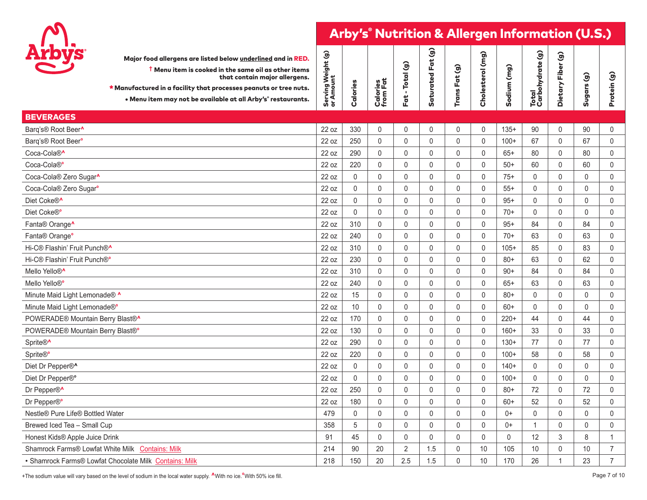

| Arbys<br>Major food allergens are listed below underlined and in RED.<br>$\dagger$ Menu item is cooked in the same oil as other items<br>that contain major allergens.<br>* Manufactured in a facility that processes peanuts or tree nuts.<br>• Menu item may not be available at all Arby's° restaurants. | Serving Weight (g)<br>or Amount | Calories     | Calories<br>from Fat | Fat - Total (g) | Saturated Fat (g)   | Trans Fat (g) | Cholesterol (mg)    | Sodium (mg) | Total<br>Carbohydrate (g) | $\widehat{\mathcal{G}}$<br>Dietary Fiber | Sugars (g) | Protein (g)    |
|-------------------------------------------------------------------------------------------------------------------------------------------------------------------------------------------------------------------------------------------------------------------------------------------------------------|---------------------------------|--------------|----------------------|-----------------|---------------------|---------------|---------------------|-------------|---------------------------|------------------------------------------|------------|----------------|
| <b>BEVERAGES</b>                                                                                                                                                                                                                                                                                            |                                 |              |                      |                 |                     |               |                     |             |                           |                                          |            |                |
| Barq's® Root Beer <b>^</b>                                                                                                                                                                                                                                                                                  | 22 oz                           | 330          | $\mathsf{O}\xspace$  | $\mathbf 0$     | $\mathbf 0$         | 0             | $\mathbf 0$         | $135+$      | 90                        | $\mathbf 0$                              | 90         | 0              |
| Barq's® Root Beer <sup>o</sup>                                                                                                                                                                                                                                                                              | 22 oz                           | 250          | $\pmb{0}$            | $\mathbf 0$     | $\mathsf 0$         | 0             | 0                   | $100+$      | 67                        | $\pmb{0}$                                | 67         | $\mathbf 0$    |
| Coca-Cola® <sup>^</sup>                                                                                                                                                                                                                                                                                     | 22 oz                           | 290          | $\pmb{0}$            | $\mathbf 0$     | $\mathbf 0$         | 0             | $\pmb{0}$           | $65+$       | 80                        | $\mathbf 0$                              | 80         | $\mathbf 0$    |
| Coca-Cola®                                                                                                                                                                                                                                                                                                  | 22 oz                           | 220          | $\pmb{0}$            | $\pmb{0}$       | $\mathsf 0$         | 0             | $\pmb{0}$           | $50+$       | 60                        | $\pmb{0}$                                | 60         | $\mathsf 0$    |
| Coca-Cola® Zero Sugar <sup>^</sup>                                                                                                                                                                                                                                                                          | 22 oz                           | $\mathbf{0}$ | $\pmb{0}$            | $\mathbf{0}$    | $\mathbf{0}$        | $\mathbf{0}$  | $\mathbf{0}$        | $75+$       | $\mathbf{0}$              | $\mathbf{0}$                             | 0          | $\mathbf 0$    |
| Coca-Cola® Zero Sugar <sup>o</sup>                                                                                                                                                                                                                                                                          | 22 oz                           | 0            | $\pmb{0}$            | $\mathbf 0$     | $\mathbf 0$         | 0             | $\mathbf 0$         | $55+$       | $\mathbf{0}$              | $\mathbf{0}$                             | 0          | $\mathbf 0$    |
| Diet Coke®^                                                                                                                                                                                                                                                                                                 | 22 oz                           | 0            | $\mathsf{0}$         | $\mathbf 0$     | $\mathsf 0$         | 0             | $\pmb{0}$           | $95+$       | 0                         | $\mathbf 0$                              | 0          | $\pmb{0}$      |
| Diet Coke®°                                                                                                                                                                                                                                                                                                 | 22 oz                           | 0            | $\mathsf{0}$         | $\mathbf{0}$    | $\mathbf{0}$        | $\mathbf{0}$  | $\mathbf{0}$        | $70+$       | $\mathbf{0}$              | $\mathbf{0}$                             | 0          | $\pmb{0}$      |
| Fanta® Orange <sup>^</sup>                                                                                                                                                                                                                                                                                  | 22 oz                           | 310          | $\mathsf{O}$         | $\mathbf{0}$    | $\mathbf 0$         | 0             | $\mathbf{0}$        | $95+$       | 84                        | $\mathbf{0}$                             | 84         | $\mathbf 0$    |
| Fanta® Orange <sup>•</sup>                                                                                                                                                                                                                                                                                  | 22 oz                           | 240          | $\mathsf{O}\xspace$  | $\mathbf 0$     | $\mathsf{O}\xspace$ | 0             | $\pmb{0}$           | $70+$       | 63                        | $\pmb{0}$                                | 63         | $\mathsf{0}$   |
| Hi-C® Flashin' Fruit Punch® <sup>^</sup>                                                                                                                                                                                                                                                                    | 22 oz                           | 310          | $\pmb{0}$            | $\mathbf{0}$    | $\mathbf{0}$        | 0             | $\mathbf{0}$        | $105+$      | 85                        | $\mathbf{0}$                             | 83         | $\pmb{0}$      |
| Hi-C® Flashin' Fruit Punch®°                                                                                                                                                                                                                                                                                | 22 oz                           | 230          | $\mathbf 0$          | $\mathbf{0}$    | $\mathbf 0$         | 0             | $\mathbf{0}$        | $80+$       | 63                        | $\mathbf{0}$                             | 62         | $\mathbf{0}$   |
| Mello Yello® <b>^</b>                                                                                                                                                                                                                                                                                       | 22 oz                           | 310          | $\mathsf{0}$         | $\pmb{0}$       | $\mathsf 0$         | 0             | $\mathsf 0$         | $90+$       | 84                        | $\mathbf{0}$                             | 84         | $\mathsf 0$    |
| Mello Yello®º                                                                                                                                                                                                                                                                                               | 22 oz                           | 240          | $\mathsf{0}$         | $\mathbf{0}$    | $\pmb{0}$           | $\Omega$      | $\mathbf{0}$        | $65+$       | 63                        | $\mathbf{0}$                             | 63         | $\pmb{0}$      |
| Minute Maid Light Lemonade® ^                                                                                                                                                                                                                                                                               | 22 oz                           | 15           | $\mathbf 0$          | $\mathbf 0$     | $\mathbf 0$         | 0             | $\mathbf 0$         | $80+$       | $\mathbf{0}$              | $\mathbf{0}$                             | 0          | $\mathbf 0$    |
| Minute Maid Light Lemonade® <sup>®</sup>                                                                                                                                                                                                                                                                    | 22 oz                           | 10           | $\pmb{0}$            | $\pmb{0}$       | $\pmb{0}$           | 0             | 0                   | $60+$       | $\mathbf 0$               | 0                                        | 0          | $\pmb{0}$      |
| POWERADE® Mountain Berry Blast®^                                                                                                                                                                                                                                                                            | 22 oz                           | 170          | $\mathsf{O}\xspace$  | $\mathbf{0}$    | $\mathbf{0}$        | $\Omega$      | $\mathbf{0}$        | $220+$      | 44                        | $\mathbf{0}$                             | 44         | 0              |
| POWERADE® Mountain Berry Blast®                                                                                                                                                                                                                                                                             | 22 oz                           | 130          | $\mathsf{O}$         | $\mathbf 0$     | $\mathbf 0$         | $\mathbf 0$   | $\pmb{0}$           | $160+$      | 33                        | $\mathbf 0$                              | 33         | $\mathbf 0$    |
| Sprite® <sup>^</sup>                                                                                                                                                                                                                                                                                        | 22 oz                           | 290          | $\pmb{0}$            | $\pmb{0}$       | $\mathsf 0$         | 0             | $\mathsf{O}\xspace$ | $130+$      | 77                        | $\pmb{0}$                                | 77         | $\pmb{0}$      |
| Sprite® <sup>o</sup>                                                                                                                                                                                                                                                                                        | 22 oz                           | 220          | $\mathsf{0}$         | $\mathbf{0}$    | $\mathbf{0}$        | 0             | $\mathbf{0}$        | $100+$      | 58                        | $\mathbf{0}$                             | 58         | $\pmb{0}$      |
| Diet Dr Pepper®^                                                                                                                                                                                                                                                                                            | 22 oz                           | 0            | $\pmb{0}$            | $\mathbf{0}$    | $\mathbf{0}$        | $\mathbf{0}$  | $\pmb{0}$           | $140+$      | $\mathbf{0}$              | $\mathbf{0}$                             | 0          | $\mathbf 0$    |
| Diet Dr Pepper® <sup>®</sup>                                                                                                                                                                                                                                                                                | 22 oz                           | 0            | $\pmb{0}$            | $\mathbf 0$     | $\mathsf 0$         | 0             | $\pmb{0}$           | $100+$      | $\pmb{0}$                 | $\mathbf{0}$                             | 0          | $\pmb{0}$      |
| Dr Pepper® <sup>^</sup>                                                                                                                                                                                                                                                                                     | 22 oz                           | 250          | $\mathbf{0}$         | $\mathbf{0}$    | $\mathbf{0}$        | $\mathbf{0}$  | $\mathbf{0}$        | $80+$       | 72                        | $\mathbf{0}$                             | 72         | $\pmb{0}$      |
| Dr Pepper®°                                                                                                                                                                                                                                                                                                 | 22 oz                           | 180          | $\pmb{0}$            | $\mathbf{0}$    | $\mathbf{0}$        | 0             | $\mathbf{0}$        | $60+$       | 52                        | $\mathbf{0}$                             | 52         | $\mathbf 0$    |
| Nestle® Pure Life® Bottled Water                                                                                                                                                                                                                                                                            | 479                             | 0            | $\mathsf{O}\xspace$  | $\mathbf 0$     | $\mathbf 0$         | 0             | $\mathbf 0$         | $0+$        | $\Omega$                  | $\mathbf{0}$                             | 0          | $\mathbf 0$    |
| Brewed Iced Tea - Small Cup                                                                                                                                                                                                                                                                                 | 358                             | 5            | $\mathsf{O}\xspace$  | $\mathbf 0$     | $\mathsf{O}\xspace$ | 0             | $\pmb{0}$           | $0+$        | $\mathbf{1}$              | $\mathbf 0$                              | 0          | $\mathsf{0}$   |
| Honest Kids® Apple Juice Drink                                                                                                                                                                                                                                                                              | 91                              | 45           | $\pmb{0}$            | $\mathbf{0}$    | $\mathbf{0}$        | 0             | $\mathbf{0}$        | $\pmb{0}$   | 12                        | 3                                        | 8          | $\mathbf{1}$   |
| Shamrock Farms® Lowfat White Milk Contains: Milk                                                                                                                                                                                                                                                            | 214                             | 90           | 20                   | $\overline{2}$  | 1.5                 | 0             | 10                  | 105         | 10                        | $\mathbf 0$                              | 10         | $\overline{7}$ |
| · Shamrock Farms® Lowfat Chocolate Milk Contains: Milk                                                                                                                                                                                                                                                      | 218                             | 150          | 20                   | 2.5             | 1.5                 | 0             | 10                  | 170         | 26                        | $\overline{1}$                           | 23         | $\overline{7}$ |

+The sodium value will vary based on the level of sodium in the local water supply. **^**With no ice.**°**With 50% ice fill.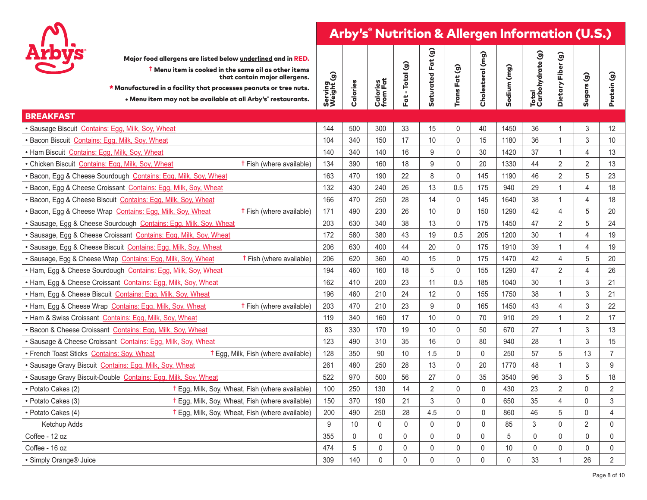

| <b>Arbys</b><br>Major food allergens are listed below underlined and in RED.<br>$\dagger$ Menu item is cooked in the same oil as other items<br>that contain major allergens.<br>* Manufactured in a facility that processes peanuts or tree nuts.<br>. Menu item may not be available at all Arby's° restaurants. | Serving<br>Weight (g) | Calories | <b>Calories</b><br>from Fat | Fat - Total (g) | Saturated Fat (g) | Trans Fat (g)       | Cholesterol (mg)    | Sodium (mg)  | Total<br>Carbohydrate (g) | $\widehat{\mathcal{G}}$<br>Dietary Fiber | Sugars (g)                | Protein (g)    |
|--------------------------------------------------------------------------------------------------------------------------------------------------------------------------------------------------------------------------------------------------------------------------------------------------------------------|-----------------------|----------|-----------------------------|-----------------|-------------------|---------------------|---------------------|--------------|---------------------------|------------------------------------------|---------------------------|----------------|
| <b>BREAKFAST</b>                                                                                                                                                                                                                                                                                                   |                       |          |                             |                 |                   |                     |                     |              |                           |                                          |                           |                |
| · Sausage Biscuit Contains: Egg, Milk, Soy, Wheat                                                                                                                                                                                                                                                                  | 144                   | 500      | 300                         | 33              | 15                | $\mathbf 0$         | 40                  | 1450         | 36                        | 1                                        | $\mathsf 3$               | 12             |
| · Bacon Biscuit Contains: Egg, Milk, Soy, Wheat                                                                                                                                                                                                                                                                    | 104                   | 340      | 150                         | 17              | 10                | $\mathbf{0}$        | 15                  | 1180         | 36                        | $\mathbf 1$                              | $\mathfrak{Z}$            | 10             |
| . Ham Biscuit Contains: Egg, Milk, Soy, Wheat                                                                                                                                                                                                                                                                      | 140                   | 340      | 140                         | 16              | 9                 | $\mathbf 0$         | 30                  | 1420         | 37                        | $\mathbf{1}$                             | $\overline{4}$            | 13             |
| <b>t</b> Fish (where available)<br>• Chicken Biscuit Contains: Egg, Milk, Soy, Wheat                                                                                                                                                                                                                               | 134                   | 390      | 160                         | 18              | 9                 | $\mathsf 0$         | 20                  | 1330         | 44                        | $\overline{2}$                           | $\overline{2}$            | 13             |
| · Bacon, Egg & Cheese Sourdough Contains: Egg, Milk, Soy, Wheat                                                                                                                                                                                                                                                    | 163                   | 470      | 190                         | 22              | 8                 | $\mathbf 0$         | 145                 | 1190         | 46                        | $\overline{2}$                           | $\sqrt{5}$                | 23             |
| · Bacon, Egg & Cheese Croissant Contains: Egg, Milk, Soy, Wheat                                                                                                                                                                                                                                                    | 132                   | 430      | 240                         | 26              | 13                | 0.5                 | 175                 | 940          | 29                        | $\mathbf{1}$                             | $\overline{4}$            | 18             |
| · Bacon, Egg & Cheese Biscuit Contains: Egg, Milk, Soy, Wheat                                                                                                                                                                                                                                                      | 166                   | 470      | 250                         | 28              | 14                | $\mathsf 0$         | 145                 | 1640         | 38                        | $\mathbf{1}$                             | $\overline{4}$            | 18             |
| · Bacon, Egg & Cheese Wrap Contains: Egg, Milk, Soy, Wheat<br><b>t</b> Fish (where available)                                                                                                                                                                                                                      | 171                   | 490      | 230                         | 26              | 10                | $\mathsf{O}\xspace$ | 150                 | 1290         | 42                        | 4                                        | $\sqrt{5}$                | 20             |
| · Sausage, Egg & Cheese Sourdough Contains: Egg, Milk, Soy, Wheat                                                                                                                                                                                                                                                  | 203                   | 630      | 340                         | 38              | 13                | $\mathbf 0$         | 175                 | 1450         | 47                        | 2                                        | 5                         | 24             |
| · Sausage, Egg & Cheese Croissant Contains: Egg, Milk, Soy, Wheat                                                                                                                                                                                                                                                  | 172                   | 580      | 380                         | 43              | 19                | 0.5                 | 205                 | 1200         | 30                        | 1                                        | $\overline{4}$            | 19             |
| · Sausage, Egg & Cheese Biscuit Contains: Egg, Milk, Soy, Wheat                                                                                                                                                                                                                                                    | 206                   | 630      | 400                         | 44              | 20                | $\mathbf 0$         | 175                 | 1910         | 39                        | $\mathbf{1}$                             | $\overline{4}$            | 19             |
| · Sausage, Egg & Cheese Wrap Contains: Egg, Milk, Soy, Wheat<br><b>t</b> Fish (where available)                                                                                                                                                                                                                    | 206                   | 620      | 360                         | 40              | 15                | $\mathbf 0$         | 175                 | 1470         | 42                        | 4                                        | 5                         | 20             |
| . Ham, Egg & Cheese Sourdough Contains: Egg, Milk, Soy, Wheat                                                                                                                                                                                                                                                      | 194                   | 460      | 160                         | 18              | 5                 | $\pmb{0}$           | 155                 | 1290         | 47                        | $\overline{2}$                           | $\overline{4}$            | 26             |
| . Ham, Egg & Cheese Croissant Contains: Egg, Milk, Soy, Wheat                                                                                                                                                                                                                                                      | 162                   | 410      | 200                         | 23              | 11                | 0.5                 | 185                 | 1040         | 30                        | 1                                        | $\mathfrak{Z}$            | 21             |
| . Ham, Egg & Cheese Biscuit Contains: Egg, Milk, Soy, Wheat                                                                                                                                                                                                                                                        | 196                   | 460      | 210                         | 24              | 12                | $\mathsf{0}$        | 155                 | 1750         | 38                        | $\mathbf 1$                              | $\sqrt{3}$                | 21             |
| <b>t</b> Fish (where available)<br>. Ham, Egg & Cheese Wrap Contains: Egg, Milk, Soy, Wheat                                                                                                                                                                                                                        | 203                   | 470      | 210                         | 23              | 9                 | $\mathbf 0$         | 165                 | 1450         | 43                        | 4                                        | $\mathfrak{Z}$            | 22             |
| . Ham & Swiss Croissant Contains: Egg, Milk, Soy, Wheat                                                                                                                                                                                                                                                            | 119                   | 340      | 160                         | 17              | 10                | $\mathbf 0$         | 70                  | 910          | 29                        | 1                                        | $\overline{2}$            | 17             |
| · Bacon & Cheese Croissant Contains: Egg, Milk, Soy, Wheat                                                                                                                                                                                                                                                         | 83                    | 330      | 170                         | 19              | 10                | $\mathbf 0$         | 50                  | 670          | 27                        | $\mathbf 1$                              | 3                         | 13             |
| · Sausage & Cheese Croissant Contains: Egg, Milk, Soy, Wheat                                                                                                                                                                                                                                                       | 123                   | 490      | 310                         | 35              | 16                | $\mathbf 0$         | 80                  | 940          | 28                        | $\mathbf{1}$                             | 3                         | 15             |
| • French Toast Sticks Contains: Soy, Wheat<br><b>t</b> Egg, Milk, Fish (where available)                                                                                                                                                                                                                           | 128                   | 350      | 90                          | 10              | 1.5               | $\mathsf{O}\xspace$ | $\mathsf{O}\xspace$ | 250          | 57                        | 5                                        | 13                        | $\overline{7}$ |
| · Sausage Gravy Biscuit Contains: Egg, Milk, Soy, Wheat                                                                                                                                                                                                                                                            | 261                   | 480      | 250                         | 28              | 13                | $\pmb{0}$           | 20                  | 1770         | 48                        | $\overline{1}$                           | $\ensuremath{\mathsf{3}}$ | $9\,$          |
| · Sausage Gravy Biscuit-Double Contains: Egg, Milk, Soy, Wheat                                                                                                                                                                                                                                                     | 522                   | 970      | 500                         | 56              | 27                | $\mathbf 0$         | 35                  | 3540         | 96                        | 3                                        | 5                         | 18             |
| <b>t</b> Egg, Milk, Soy, Wheat, Fish (where available)<br>• Potato Cakes (2)                                                                                                                                                                                                                                       | 100                   | 250      | 130                         | 14              | $\overline{2}$    | $\mathbf 0$         | $\mathbf{0}$        | 430          | 23                        | $\overline{2}$                           | 0                         | 2              |
| <b>t</b> Egg, Milk, Soy, Wheat, Fish (where available)<br>• Potato Cakes (3)                                                                                                                                                                                                                                       | 150                   | 370      | 190                         | 21              | 3                 | $\mathbf 0$         | $\mathbf{0}$        | 650          | 35                        | 4                                        | 0                         | $\sqrt{3}$     |
| † Egg, Milk, Soy, Wheat, Fish (where available)<br>• Potato Cakes (4)                                                                                                                                                                                                                                              | 200                   | 490      | 250                         | 28              | 4.5               | $\Omega$            | $\mathbf{0}$        | 860          | 46                        | 5                                        | 0                         | $\overline{4}$ |
| Ketchup Adds                                                                                                                                                                                                                                                                                                       | 9                     | 10       | $\mathbf{0}$                | $\mathbf{0}$    | $\mathbf{0}$      | $\Omega$            | $\mathbf{0}$        | 85           | 3                         | $\mathbf{0}$                             | $\overline{2}$            | $\mathbf 0$    |
| Coffee - 12 oz                                                                                                                                                                                                                                                                                                     | 355                   | 0        | $\mathbf 0$                 | $\mathbf 0$     | $\mathbf 0$       | $\mathbf 0$         | $\mathbf 0$         | 5            | $\mathbf 0$               | 0                                        | $\mathsf{O}\xspace$       | $\mathsf{0}$   |
| Coffee - 16 oz                                                                                                                                                                                                                                                                                                     | 474                   | 5        | $\mathbf 0$                 | $\Omega$        | 0                 | $\mathbf 0$         | $\mathbf 0$         | 10           | $\mathbf 0$               | 0                                        | 0                         | $\mathsf{0}$   |
| · Simply Orange® Juice                                                                                                                                                                                                                                                                                             | 309                   | 140      | $\mathbf{0}$                | $\mathbf{0}$    | $\mathbf{0}$      | $\mathbf{0}$        | $\mathbf{0}$        | $\mathbf{0}$ | 33                        | $\overline{1}$                           | 26                        | $\overline{2}$ |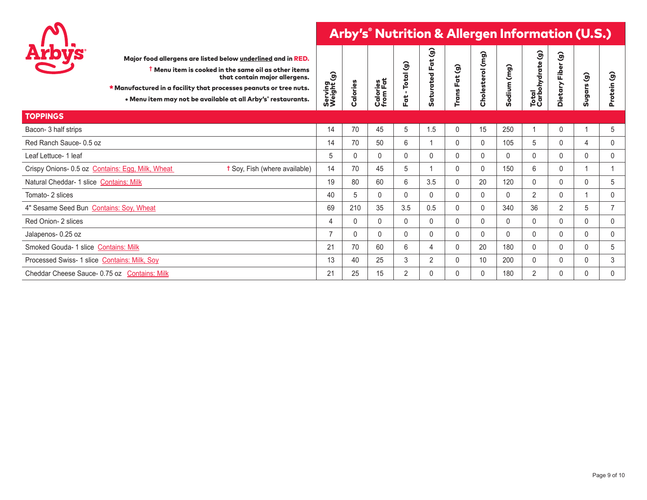

| <b>Arbys</b>                                     | Major food allergens are listed below underlined and in RED.<br><sup>†</sup> Menu item is cooked in the same oil as other items<br>that contain major allergens.<br>* Manufactured in a facility that processes peanuts or tree nuts.<br>. Menu item may not be available at all Arby's° restaurants. | $\widehat{\mathbf{e}}$<br>Serving<br>Weight ( | Calories     | Calories<br>from Fat | Total (g)<br>Fat | $\widehat{g}$<br>$\ddot{a}$<br>LĽ,<br>Saturated | ම<br>Fat<br>Trans | (mg)<br>Cholesterol | (mg)<br>Sodium | Total<br>Carbohydrate (g) | $\widehat{\mathcal{G}}$<br>Fiber<br><b>Dietar</b> | $\widehat{\mathcal{G}}$<br>Sugars | ම<br>rotein<br>௳ |
|--------------------------------------------------|-------------------------------------------------------------------------------------------------------------------------------------------------------------------------------------------------------------------------------------------------------------------------------------------------------|-----------------------------------------------|--------------|----------------------|------------------|-------------------------------------------------|-------------------|---------------------|----------------|---------------------------|---------------------------------------------------|-----------------------------------|------------------|
| <b>TOPPINGS</b>                                  |                                                                                                                                                                                                                                                                                                       |                                               |              |                      |                  |                                                 |                   |                     |                |                           |                                                   |                                   |                  |
| Bacon-3 half strips                              |                                                                                                                                                                                                                                                                                                       | 14                                            | 70           | 45                   | 5                | 1.5                                             | 0                 | 15                  | 250            |                           |                                                   |                                   | 5                |
| Red Ranch Sauce-0.5 oz                           |                                                                                                                                                                                                                                                                                                       | 14                                            | 70           | 50                   | 6                |                                                 | 0                 | $\mathbf{0}$        | 105            | 5                         | 0                                                 | 4                                 | 0                |
| Leaf Lettuce- 1 leaf                             |                                                                                                                                                                                                                                                                                                       | 5                                             | $\mathbf{0}$ | $\mathbf{0}$         | $\mathbf{0}$     | $\mathbf{0}$                                    | 0                 | 0                   | $\mathbf{0}$   | $\mathbf{0}$              | $\mathbf{0}$                                      | 0                                 | 0                |
| Crispy Onions- 0.5 oz Contains: Egg, Milk, Wheat | <b>t</b> Soy, Fish (where available)                                                                                                                                                                                                                                                                  | 14                                            | 70           | 45                   | 5                |                                                 | $\Omega$          | $\mathbf{0}$        | 150            | 6                         | $\Omega$                                          |                                   |                  |
| Natural Cheddar- 1 slice Contains: Milk          |                                                                                                                                                                                                                                                                                                       | 19                                            | 80           | 60                   | 6                | 3.5                                             | $\mathbf{0}$      | 20                  | 120            | $\mathbf{0}$              | $\mathbf{0}$                                      | $\mathbf{0}$                      | 5                |
| Tomato- 2 slices                                 |                                                                                                                                                                                                                                                                                                       | 40                                            | 5            | 0                    | $\mathbf{0}$     | $\mathbf{0}$                                    | 0                 | 0                   | $\mathbf 0$    | 2                         | 0                                                 |                                   | 0                |
| 4" Sesame Seed Bun Contains: Soy, Wheat          |                                                                                                                                                                                                                                                                                                       | 69                                            | 210          | 35                   | 3.5              | 0.5                                             | $\mathbf{0}$      | $\mathbf{0}$        | 340            | 36                        | $\overline{2}$                                    | 5                                 | 7                |
| Red Onion- 2 slices                              |                                                                                                                                                                                                                                                                                                       | $\overline{4}$                                | $\mathbf{0}$ | $\mathbf{0}$         | $\mathbf{0}$     | $\mathbf{0}$                                    | $\Omega$          | $\mathbf{0}$        | $\mathbf{0}$   | $\mathbf{0}$              | 0                                                 | $\mathbf{0}$                      | $\mathbf{0}$     |
| Jalapenos- 0.25 oz                               |                                                                                                                                                                                                                                                                                                       | $\overline{7}$                                | $\mathbf{0}$ | $\mathbf{0}$         | $\mathbf{0}$     | $\mathbf{0}$                                    | 0                 | $\mathbf{0}$        | $\mathbf{0}$   | $\mathbf{0}$              | $\mathbf{0}$                                      | $\mathbf{0}$                      | 0                |
| Smoked Gouda- 1 slice Contains: Milk             |                                                                                                                                                                                                                                                                                                       | 21                                            | 70           | 60                   | 6                | $\overline{4}$                                  | 0                 | 20                  | 180            | $\mathbf{0}$              | $\Omega$                                          | 0                                 | 5                |
| Processed Swiss- 1 slice Contains: Milk, Soy     |                                                                                                                                                                                                                                                                                                       | 13                                            | 40           | 25                   | 3                | $\overline{2}$                                  | 0                 | 10                  | 200            | 0                         | 0                                                 | 0                                 | 3                |
| Cheddar Cheese Sauce- 0.75 oz Contains: Milk     |                                                                                                                                                                                                                                                                                                       | 21                                            | 25           | 15                   | $\overline{2}$   | $\mathbf{0}$                                    | 0                 | 0                   | 180            | $\overline{2}$            |                                                   | 0                                 | 0                |